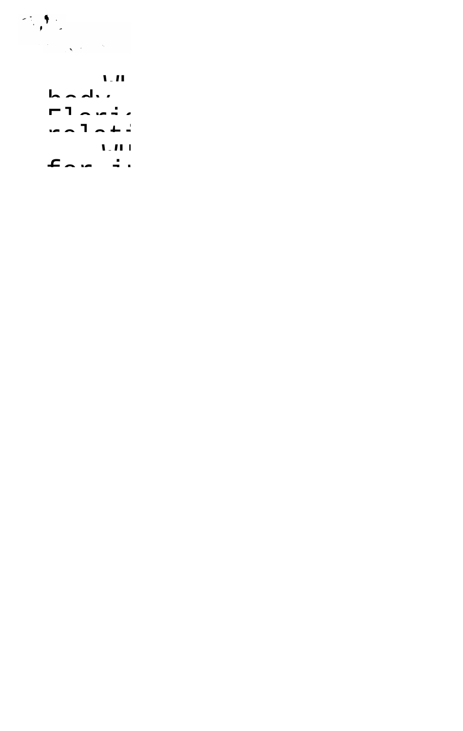